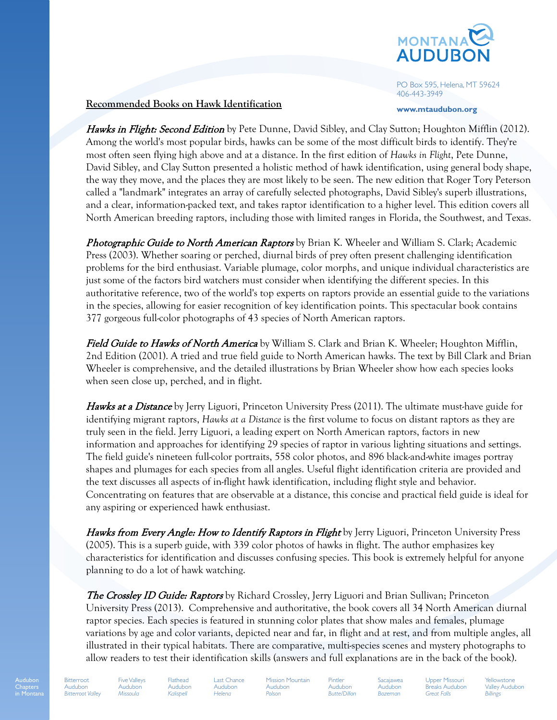

PO Box 595, Helena, MT 59624 406-443-3949

**www.mtaudubon.org**

## **Recommended Books on Hawk Identification**

Hawks in Flight: Second Edition by Pete Dunne, David Sibley, and Clay Sutton; Houghton Mifflin (2012). Among the world's most popular birds, hawks can be some of the most difficult birds to identify. They're most often seen flying high above and at a distance. In the first edition of *Hawks in Flight*, Pete Dunne, David Sibley, and Clay Sutton presented a holistic method of hawk identification, using general body shape, the way they move, and the places they are most likely to be seen. The new edition that Roger Tory Peterson called a "landmark" integrates an array of carefully selected photographs, David Sibley's superb illustrations, and a clear, information-packed text, and takes raptor identification to a higher level. This edition covers all North American breeding raptors, including those with limited ranges in Florida, the Southwest, and Texas.

**Photographic Guide to North American Raptors** by Brian K. Wheeler and William S. Clark; Academic Press (2003). Whether soaring or perched, diurnal birds of prey often present challenging identification problems for the bird enthusiast. Variable plumage, color morphs, and unique individual characteristics are just some of the factors bird watchers must consider when identifying the different species. In this authoritative reference, two of the world's top experts on raptors provide an essential guide to the variations in the species, allowing for easier recognition of key identification points. This spectacular book contains 377 gorgeous full-color photographs of 43 species of North American raptors.

Field Guide to Hawks of North America by William S. Clark and Brian K. Wheeler; Houghton Mifflin, 2nd Edition (2001). A tried and true field guide to North American hawks. The text by Bill Clark and Brian Wheeler is comprehensive, and the detailed illustrations by Brian Wheeler show how each species looks when seen close up, perched, and in flight.

**Hawks at a Distance** by Jerry Liguori, Princeton University Press (2011). The ultimate must-have guide for identifying migrant raptors, *Hawks at a Distance* is the first volume to focus on distant raptors as they are truly seen in the field. Jerry Liguori, a leading expert on North American raptors, factors in new information and approaches for identifying 29 species of raptor in various lighting situations and settings. The field guide's nineteen full-color portraits, 558 color photos, and 896 black-and-white images portray shapes and plumages for each species from all angles. Useful flight identification criteria are provided and the text discusses all aspects of in-flight hawk identification, including flight style and behavior. Concentrating on features that are observable at a distance, this concise and practical field guide is ideal for any aspiring or experienced hawk enthusiast.

Hawks from Every Angle: How to Identify Raptors in Flight by Jerry Liguori, Princeton University Press (2005). This is a superb guide, with 339 color photos of hawks in flight. The author emphasizes key characteristics for identification and discusses confusing species. This book is extremely helpful for anyone planning to do a lot of hawk watching.

The Crossley ID Guide: Raptors by Richard Crossley, Jerry Liguori and Brian Sullivan; Princeton University Press (2013). Comprehensive and authoritative, the book covers all 34 North American diurnal raptor species. Each species is featured in stunning color plates that show males and females, plumage variations by age and color variants, depicted near and far, in flight and at rest, and from multiple angles, all illustrated in their typical habitats. There are comparative, multi-species scenes and mystery photographs to allow readers to test their identification skills (answers and full explanations are in the back of the book).

Audubon Chapters in Montana

*Missoula*

Five Valleys Audubon Flathead Audubon *Kalispell*

Last Chance Audubon *Helena*

Mission Mountain Audubon *Polson*

Pintler Audubon *Butte/Dillon*

**Sacajawea** Audubon *Bozeman*

Upper Missouri Breaks Audubon *Great Falls*

Yellowstone Valley Audubon *Billings*